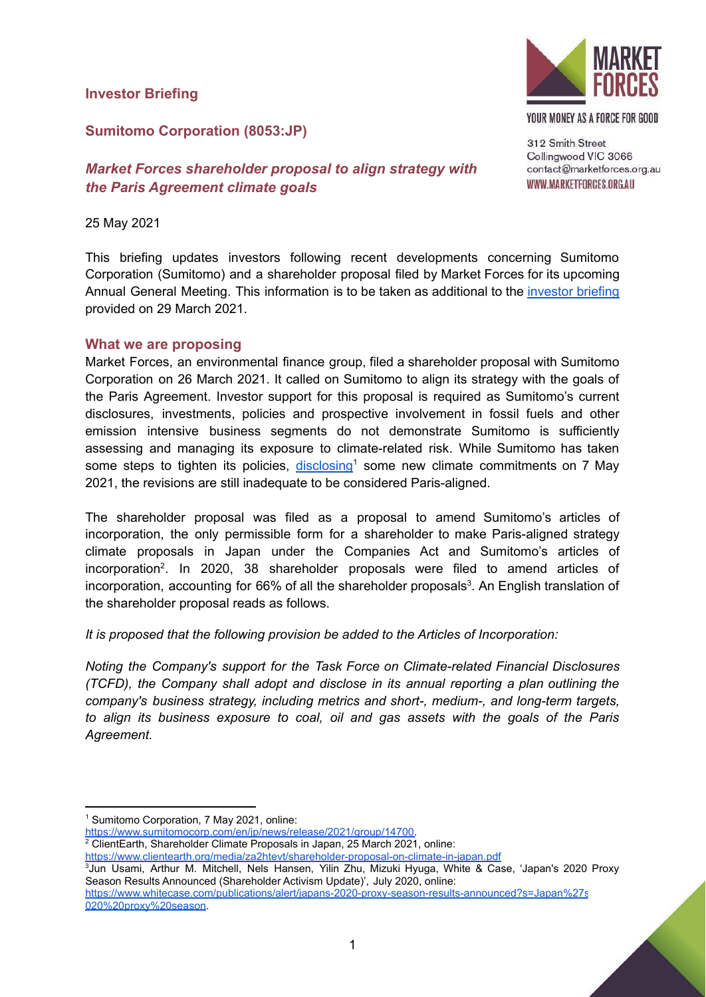#### **Investor Briefing**



YOUR MONEY AS A FORCE FOR GOOD

### **Sumitomo Corporation (8053:JP)**

### *Market Forces shareholder proposal to align strategy with the Paris Agreement climate goals*

#### 25 May 2021

This briefing updates investors following recent developments concerning Sumitomo Corporation (Sumitomo) and a shareholder proposal filed by Market Forces for its upcoming Annual General Meeting. This information is to be taken as additional to the [investor](https://www.marketforces.org.au/wp-content/uploads/2021/03/Investor-Briefing-Sumitomo-proposal_public_EN.pdf) briefing provided on 29 March 2021.

#### **What we are proposing**

Market Forces, an environmental finance group, filed a shareholder proposal with Sumitomo Corporation on 26 March 2021. It called on Sumitomo to align its strategy with the goals of the Paris Agreement. Investor support for this proposal is required as Sumitomo's current disclosures, investments, policies and prospective involvement in fossil fuels and other emission intensive business segments do not demonstrate Sumitomo is sufficiently assessing and managing its exposure to climate-related risk. While Sumitomo has taken some steps to tighten its policies, [disclosing](https://www.sumitomocorp.com/en/jp/news/release/2021/group/14700)<sup>1</sup> some new climate commitments on 7 May 2021, the revisions are still inadequate to be considered Paris-aligned.

The shareholder proposal was filed as a proposal to amend Sumitomo's articles of incorporation, the only permissible form for a shareholder to make Paris-aligned strategy climate proposals in Japan under the Companies Act and Sumitomo's articles of incorporation 2 . In 2020, 38 shareholder proposals were filed to amend articles of incorporation, accounting for 66% of all the shareholder proposals<sup>3</sup>. An English translation of the shareholder proposal reads as follows.

*It is proposed that the following provision be added to the Articles of Incorporation:*

*Noting the Company's support for the Task Force on Climate-related Financial Disclosures (TCFD), the Company shall adopt and disclose in its annual reporting a plan outlining the company's business strategy, including metrics and short-, medium-, and long-term targets, to align its business exposure to coal, oil and gas assets with the goals of the Paris Agreement.*

[https://www.sumitomocorp.com/en/jp/news/release/2021/group/14700.](https://www.sumitomocorp.com/en/jp/news/release/2021/group/14700)

<sup>2</sup> ClientEarth, Shareholder Climate Proposals in Japan, 25 March 2021, online:

<https://www.clientearth.org/media/za2htevt/shareholder-proposal-on-climate-in-japan.pdf>

<sup>3</sup>Jun Usami, Arthur M. Mitchell, Nels Hansen, Yilin Zhu, Mizuki Hyuga, White & Case, 'Japan's 2020 Proxy Season Results Announced (Shareholder Activism Update)', July 2020, online: https://www.whitecase.com/publications/alert/japans-2020-proxy-season-results-announced?s=Japan%27s [020%20proxy%20season](https://www.whitecase.com/publications/alert/japans-2020-proxy-season-results-announced?s=Japan%27s%202020%20proxy%20season).

<sup>1</sup> Sumitomo Corporation, 7 May 2021, online: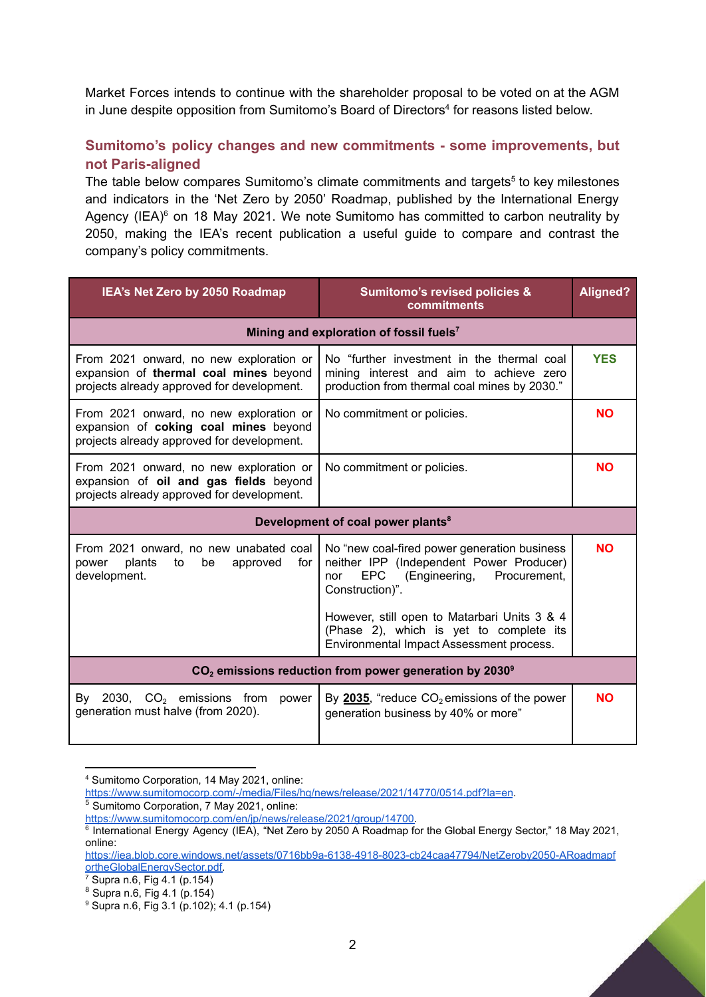Market Forces intends to continue with the shareholder proposal to be voted on at the AGM in June despite opposition from Sumitomo's Board of Directors 4 for reasons listed below.

# **Sumitomo's policy changes and new commitments - some improvements, but not Paris-aligned**

The table below compares Sumitomo's climate commitments and targets<sup>5</sup> to key milestones and indicators in the 'Net Zero by 2050' Roadmap, published by the International Energy Agency (IEA)<sup>6</sup> on 18 May 2021. We note Sumitomo has committed to carbon neutrality by 2050, making the IEA's recent publication a useful guide to compare and contrast the company's policy commitments.

| IEA's Net Zero by 2050 Roadmap                                                                                                  | <b>Sumitomo's revised policies &amp;</b><br>commitments                                                                                                    | <b>Aligned?</b> |  |
|---------------------------------------------------------------------------------------------------------------------------------|------------------------------------------------------------------------------------------------------------------------------------------------------------|-----------------|--|
| Mining and exploration of fossil fuels <sup>7</sup>                                                                             |                                                                                                                                                            |                 |  |
| From 2021 onward, no new exploration or<br>expansion of thermal coal mines beyond<br>projects already approved for development. | No "further investment in the thermal coal<br>mining interest and aim to achieve zero<br>production from thermal coal mines by 2030."                      | <b>YES</b>      |  |
| From 2021 onward, no new exploration or<br>expansion of coking coal mines beyond<br>projects already approved for development.  | No commitment or policies.                                                                                                                                 | <b>NO</b>       |  |
| From 2021 onward, no new exploration or<br>expansion of oil and gas fields beyond<br>projects already approved for development. | No commitment or policies.                                                                                                                                 | <b>NO</b>       |  |
| Development of coal power plants <sup>8</sup>                                                                                   |                                                                                                                                                            |                 |  |
| From 2021 onward, no new unabated coal<br>plants<br>power<br>to<br>be<br>approved<br>for<br>development.                        | No "new coal-fired power generation business<br>neither IPP (Independent Power Producer)<br>(Engineering,<br>EPC<br>Procurement.<br>nor<br>Construction)". | <b>NO</b>       |  |
|                                                                                                                                 | However, still open to Matarbari Units 3 & 4<br>(Phase 2), which is yet to complete its<br>Environmental Impact Assessment process.                        |                 |  |
| $CO2$ emissions reduction from power generation by 2030 $^{\circ}$                                                              |                                                                                                                                                            |                 |  |
| By 2030, $CO2$ emissions from<br>power<br>generation must halve (from 2020).                                                    | By 2035, "reduce $CO2$ emissions of the power<br>generation business by 40% or more"                                                                       | <b>NO</b>       |  |

<sup>4</sup> Sumitomo Corporation, 14 May 2021, online:

<https://www.sumitomocorp.com/-/media/Files/hq/news/release/2021/14770/0514.pdf?la=en>.

<sup>5</sup> Sumitomo Corporation, 7 May 2021, online:

[https://www.sumitomocorp.com/en/jp/news/release/2021/group/14700.](https://www.sumitomocorp.com/en/jp/news/release/2021/group/14700)

<sup>6</sup> International Energy Agency (IEA), "Net Zero by 2050 A Roadmap for the Global Energy Sector," 18 May 2021, online:

[https://iea.blob.core.windows.net/assets/0716bb9a-6138-4918-8023-cb24caa47794/NetZeroby2050-ARoadmapf](https://iea.blob.core.windows.net/assets/0716bb9a-6138-4918-8023-cb24caa47794/NetZeroby2050-ARoadmapfortheGlobalEnergySector.pdf) [ortheGlobalEnergySector.pdf.](https://iea.blob.core.windows.net/assets/0716bb9a-6138-4918-8023-cb24caa47794/NetZeroby2050-ARoadmapfortheGlobalEnergySector.pdf)

<sup>7</sup> Supra n.6, Fig 4.1 (p.154)

<sup>8</sup> Supra n.6, Fig 4.1 (p.154)

<sup>9</sup> Supra n.6, Fig 3.1 (p.102); 4.1 (p.154)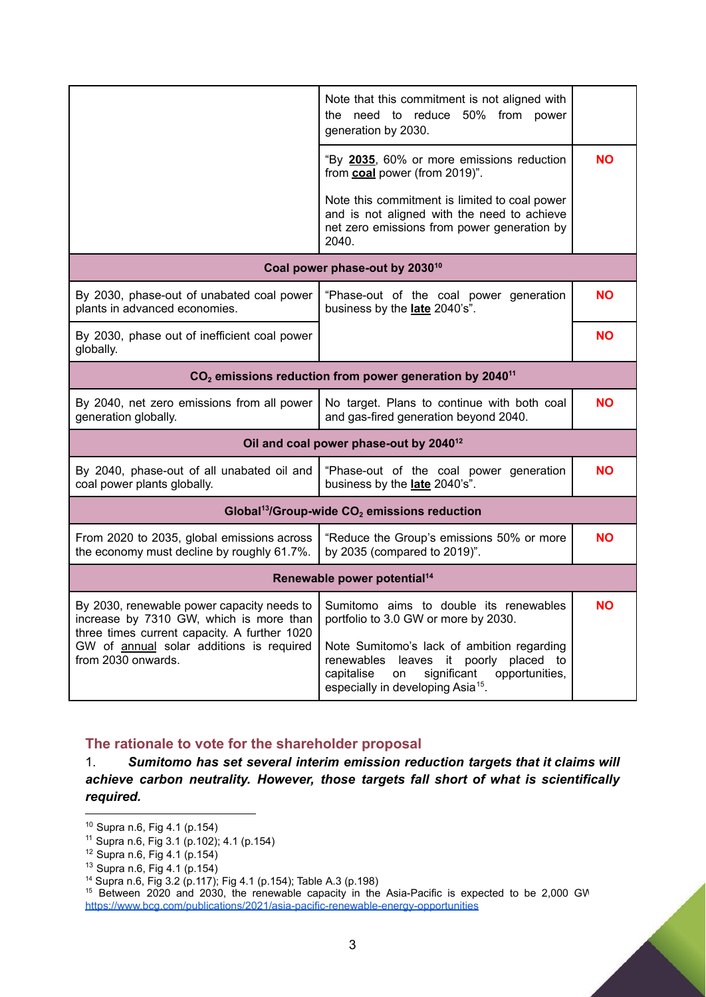|                                                                                                                                                                                                         | Note that this commitment is not aligned with<br>the need to reduce 50% from power<br>generation by 2030.                                                                                 |           |  |
|---------------------------------------------------------------------------------------------------------------------------------------------------------------------------------------------------------|-------------------------------------------------------------------------------------------------------------------------------------------------------------------------------------------|-----------|--|
|                                                                                                                                                                                                         | "By 2035, 60% or more emissions reduction<br>from coal power (from 2019)".                                                                                                                | <b>NO</b> |  |
|                                                                                                                                                                                                         | Note this commitment is limited to coal power<br>and is not aligned with the need to achieve<br>net zero emissions from power generation by<br>2040.                                      |           |  |
| Coal power phase-out by 2030 <sup>10</sup>                                                                                                                                                              |                                                                                                                                                                                           |           |  |
| By 2030, phase-out of unabated coal power<br>plants in advanced economies.                                                                                                                              | "Phase-out of the coal power generation<br>business by the late 2040's".                                                                                                                  | <b>NO</b> |  |
| By 2030, phase out of inefficient coal power<br>globally.                                                                                                                                               |                                                                                                                                                                                           | <b>NO</b> |  |
| $CO2$ emissions reduction from power generation by 2040 <sup>11</sup>                                                                                                                                   |                                                                                                                                                                                           |           |  |
| By 2040, net zero emissions from all power<br>generation globally.                                                                                                                                      | No target. Plans to continue with both coal<br>and gas-fired generation beyond 2040.                                                                                                      | <b>NO</b> |  |
| Oil and coal power phase-out by 2040 <sup>12</sup>                                                                                                                                                      |                                                                                                                                                                                           |           |  |
| By 2040, phase-out of all unabated oil and<br>coal power plants globally.                                                                                                                               | "Phase-out of the coal power generation<br>business by the late 2040's".                                                                                                                  | <b>NO</b> |  |
| Global <sup>13</sup> /Group-wide $CO2$ emissions reduction                                                                                                                                              |                                                                                                                                                                                           |           |  |
| From 2020 to 2035, global emissions across<br>the economy must decline by roughly 61.7%.                                                                                                                | "Reduce the Group's emissions 50% or more<br>by 2035 (compared to 2019)".                                                                                                                 | <b>NO</b> |  |
| Renewable power potential <sup>14</sup>                                                                                                                                                                 |                                                                                                                                                                                           |           |  |
| By 2030, renewable power capacity needs to<br>increase by 7310 GW, which is more than<br>three times current capacity. A further 1020<br>GW of annual solar additions is required<br>from 2030 onwards. | Sumitomo aims to double its renewables<br>portfolio to 3.0 GW or more by 2030.                                                                                                            | <b>NO</b> |  |
|                                                                                                                                                                                                         | Note Sumitomo's lack of ambition regarding<br>renewables leaves it poorly placed to<br>significant<br>opportunities,<br>capitalise<br>on<br>especially in developing Asia <sup>15</sup> . |           |  |

**The rationale to vote for the shareholder proposal**

1. *Sumitomo has set several interim emission reduction targets that it claims will achieve carbon neutrality. However, those targets fall short of what is scientifically required.*

<sup>10</sup> Supra n.6, Fig 4.1 (p.154)

<sup>11</sup> Supra n.6, Fig 3.1 (p.102); 4.1 (p.154)

<sup>12</sup> Supra n.6, Fig 4.1 (p.154)

<sup>13</sup> Supra n.6, Fig 4.1 (p.154)

<sup>14</sup> Supra n.6, Fig 3.2 (p.117); Fig 4.1 (p.154); Table A.3 (p.198)

<sup>&</sup>lt;sup>15</sup> Between 2020 and 2030, the renewable capacity in the Asia-Pacific is expected to be 2,000 GW <https://www.bcg.com/publications/2021/asia-pacific-renewable-energy-opportunities>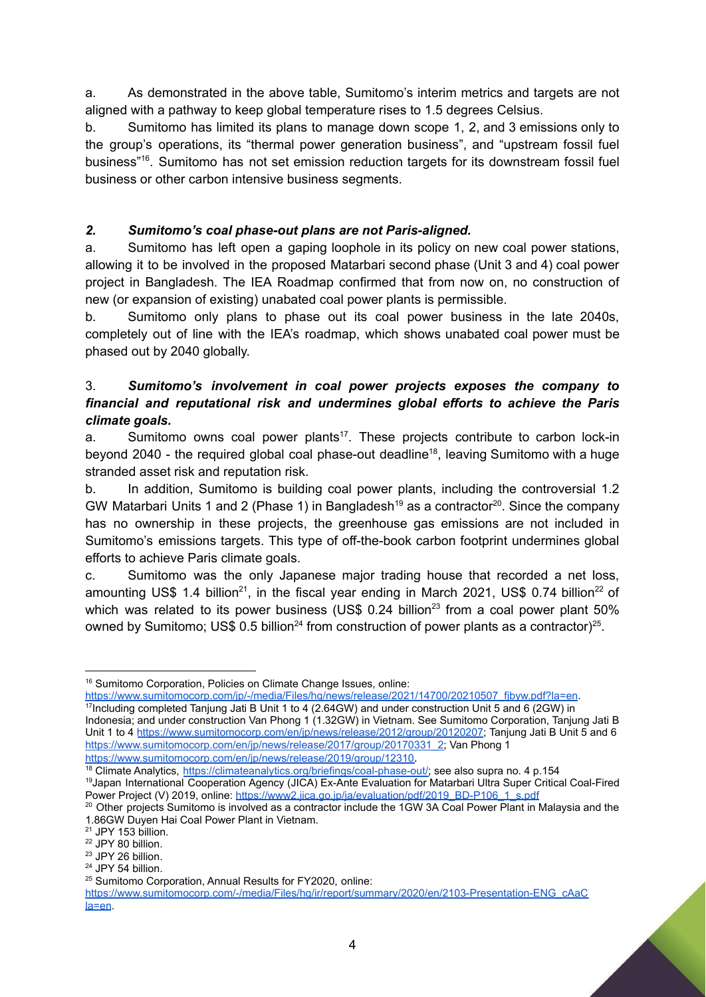a. As demonstrated in the above table, Sumitomo's interim metrics and targets are not aligned with a pathway to keep global temperature rises to 1.5 degrees Celsius.

b. Sumitomo has limited its plans to manage down scope 1, 2, and 3 emissions only to the group's operations, its "thermal power generation business", and "upstream fossil fuel business" 16 . Sumitomo has not set emission reduction targets for its downstream fossil fuel business or other carbon intensive business segments.

### *2. Sumitomo's coal phase-out plans are not Paris-aligned.*

a. Sumitomo has left open a gaping loophole in its policy on new coal power stations, allowing it to be involved in the proposed Matarbari second phase (Unit 3 and 4) coal power project in Bangladesh. The IEA Roadmap confirmed that from now on, no construction of new (or expansion of existing) unabated coal power plants is permissible.

b. Sumitomo only plans to phase out its coal power business in the late 2040s, completely out of line with the IEA's roadmap, which shows unabated coal power must be phased out by 2040 globally.

### 3. *Sumitomo's involvement in coal power projects exposes the company to financial and reputational risk and undermines global efforts to achieve the Paris climate goals.*

a. Sumitomo owns coal power plants<sup>17</sup>. These projects contribute to carbon lock-in beyond 2040 - the required global coal phase-out deadline<sup>18</sup>, leaving Sumitomo with a huge stranded asset risk and reputation risk.

b. In addition, Sumitomo is building coal power plants, including the controversial 1.2 GW Matarbari Units 1 and 2 (Phase 1) in Bangladesh<sup>19</sup> as a contractor<sup>20</sup>. Since the company has no ownership in these projects, the greenhouse gas emissions are not included in Sumitomo's emissions targets. This type of off-the-book carbon footprint undermines global efforts to achieve Paris climate goals.

c. Sumitomo was the only Japanese major trading house that recorded a net loss, amounting US\$ 1.4 billion<sup>21</sup>, in the fiscal year ending in March 2021, US\$ 0.74 billion<sup>22</sup> of which was related to its power business (US\$ 0.24 billion<sup>23</sup> from a coal power plant 50% owned by Sumitomo; US\$ 0.5 billion<sup>24</sup> from construction of power plants as a contractor)<sup>25</sup>.

https://www.sumitomocorp.com/ip/-/media/Files/hq/news/release/2021/14700/20210507\_fibyw.pdf?la=en.

<sup>17</sup>Including completed Tanjung Jati B Unit 1 to 4 (2.64GW) and under construction Unit 5 and 6 (2GW) in Indonesia; and under construction Van Phong 1 (1.32GW) in Vietnam. See Sumitomo Corporation, Tanjung Jati B Unit 1 to 4 <https://www.sumitomocorp.com/en/jp/news/release/2012/group/20120207>; Tanjung Jati B Unit 5 and 6 [https://www.sumitomocorp.com/en/jp/news/release/2017/group/20170331\\_2;](https://www.sumitomocorp.com/en/jp/news/release/2017/group/20170331_2) Van Phong 1 <https://www.sumitomocorp.com/en/jp/news/release/2019/group/12310>.

<sup>&</sup>lt;sup>16</sup> Sumitomo Corporation, Policies on Climate Change Issues, online:

<sup>19</sup>Japan International Cooperation Agency (JICA) Ex-Ante Evaluation for Matarbari Ultra Super Critical Coal-Fired Power Project (V) 2019, online: [https://www2.jica.go.jp/ja/evaluation/pdf/2019\\_BD-P106\\_1\\_s.pdf](https://www2.jica.go.jp/ja/evaluation/pdf/2019_BD-P106_1_s.pdf) <sup>18</sup> Climate Analytics, [https://climateanalytics.org/briefings/coal-phase-out/;](https://climateanalytics.org/briefings/coal-phase-out/) see also supra no. 4 p.154

<sup>&</sup>lt;sup>20</sup> Other projects Sumitomo is involved as a contractor include the 1GW 3A Coal Power Plant in Malaysia and the 1.86GW Duyen Hai Coal Power Plant in Vietnam.

<sup>21</sup> JPY 153 billion.

<sup>22</sup> JPY 80 billion.

<sup>&</sup>lt;sup>23</sup> JPY 26 billion.

<sup>24</sup> JPY 54 billion.

<sup>25</sup> Sumitomo Corporation, Annual Results for FY2020, online:

https://www.sumitomocorp.com/-/media/Files/hq/ir/report/summary/2020/en/2103-Presentation-ENG\_cAaC7 [la=en](https://www.sumitomocorp.com/-/media/Files/hq/ir/report/summary/2020/en/2103-Presentation-ENG_cAaC7.pdf?la=en).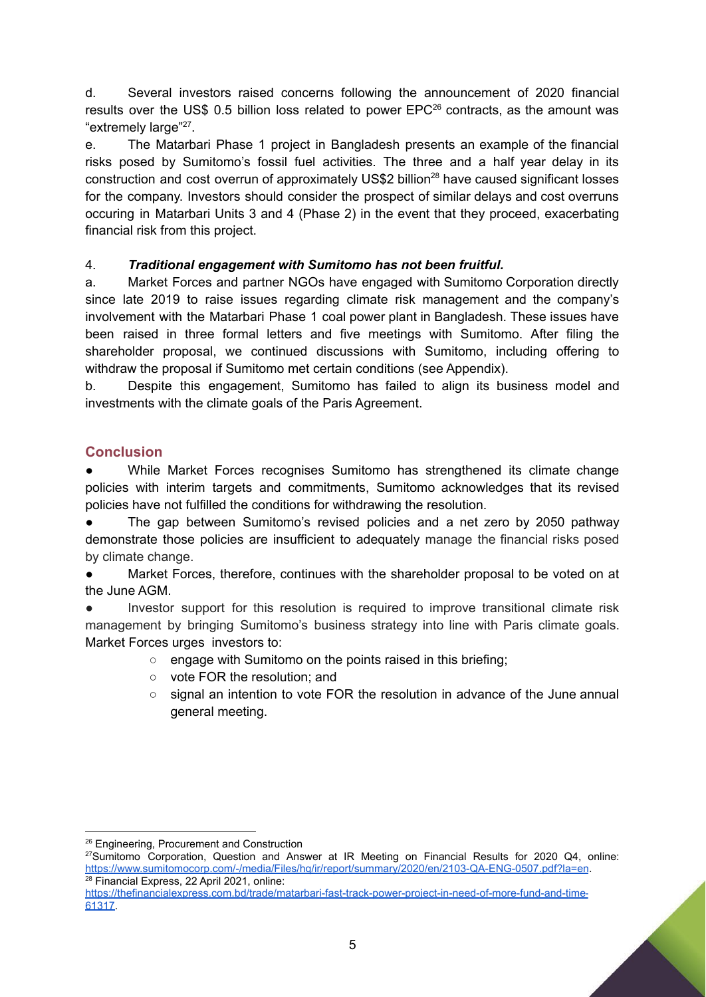d. Several investors raised concerns following the announcement of 2020 financial results over the US\$ 0.5 billion loss related to power  $EPC^{26}$  contracts, as the amount was "extremely large"<sup>27</sup>.

e. The Matarbari Phase 1 project in Bangladesh presents an example of the financial risks posed by Sumitomo's fossil fuel activities. The three and a half year delay in its construction and cost overrun of approximately US\$2 billion<sup>28</sup> have caused significant losses for the company. Investors should consider the prospect of similar delays and cost overruns occuring in Matarbari Units 3 and 4 (Phase 2) in the event that they proceed, exacerbating financial risk from this project.

# 4. *Traditional engagement with Sumitomo has not been fruitful.*

a. Market Forces and partner NGOs have engaged with Sumitomo Corporation directly since late 2019 to raise issues regarding climate risk management and the company's involvement with the Matarbari Phase 1 coal power plant in Bangladesh. These issues have been raised in three formal letters and five meetings with Sumitomo. After filing the shareholder proposal, we continued discussions with Sumitomo, including offering to withdraw the proposal if Sumitomo met certain conditions (see Appendix).

b. Despite this engagement, Sumitomo has failed to align its business model and investments with the climate goals of the Paris Agreement.

# **Conclusion**

While Market Forces recognises Sumitomo has strengthened its climate change policies with interim targets and commitments, Sumitomo acknowledges that its revised policies have not fulfilled the conditions for withdrawing the resolution.

The gap between Sumitomo's revised policies and a net zero by 2050 pathway demonstrate those policies are insufficient to adequately manage the financial risks posed by climate change.

● Market Forces, therefore, continues with the shareholder proposal to be voted on at the June AGM.

Investor support for this resolution is required to improve transitional climate risk management by bringing Sumitomo's business strategy into line with Paris climate goals. Market Forces urges investors to:

- engage with Sumitomo on the points raised in this briefing:
- vote FOR the resolution; and
- signal an intention to vote FOR the resolution in advance of the June annual general meeting.

<sup>&</sup>lt;sup>26</sup> Engineering, Procurement and Construction

<sup>&</sup>lt;sup>28</sup> Financial Express, 22 April 2021, online: <sup>27</sup>Sumitomo Corporation, Question and Answer at IR Meeting on Financial Results for 2020 Q4, online: <https://www.sumitomocorp.com/-/media/Files/hq/ir/report/summary/2020/en/2103-QA-ENG-0507.pdf?la=en>.

https://thefinancialexpress.com.bd/trade/matarbari-fast-track-power-project-in-need-of-more-fund-and-time-[61317](https://thefinancialexpress.com.bd/trade/matarbari-fast-track-power-project-in-need-of-more-fund-and-time-1619061317).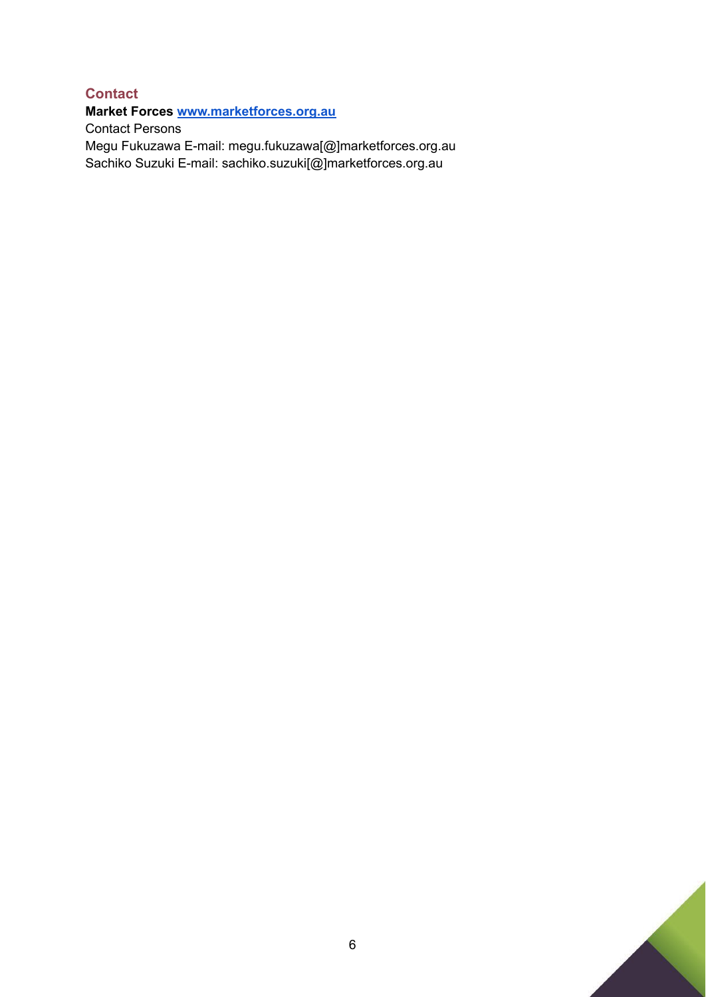# **Contact Market Forces [www.marketforces.org.au](http://www.marketforces.org.au)** Contact Persons Megu Fukuzawa E-mail: megu.fukuzawa[@]marketforces.org.au Sachiko Suzuki E-mail: sachiko.suzuki[@]marketforces.org.au

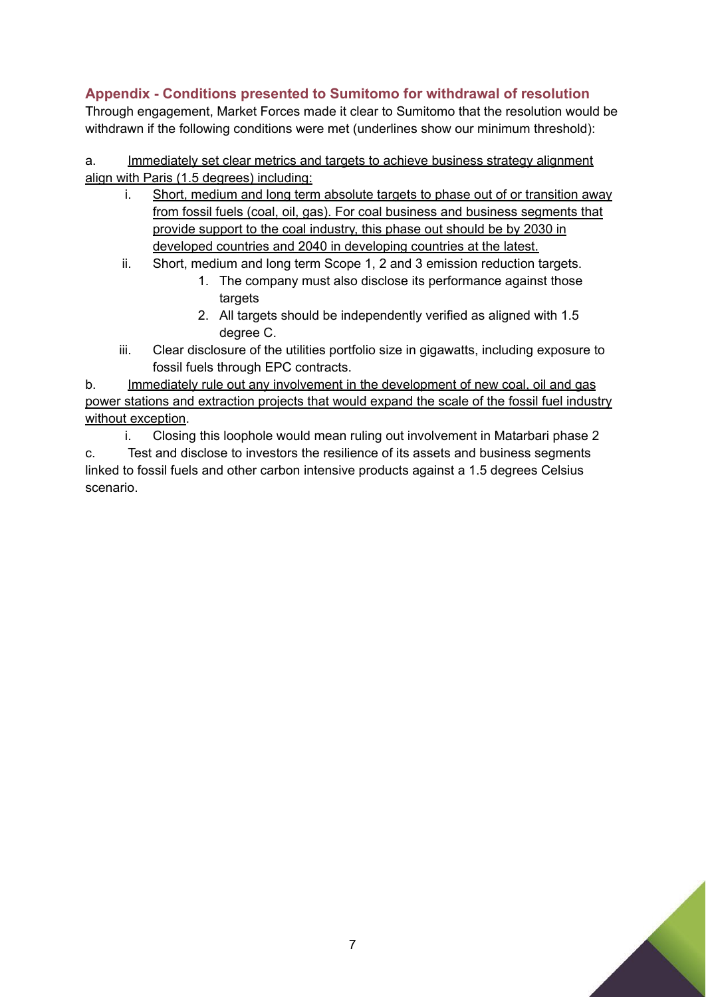# **Appendix - Conditions presented to Sumitomo for withdrawal of resolution**

Through engagement, Market Forces made it clear to Sumitomo that the resolution would be withdrawn if the following conditions were met (underlines show our minimum threshold):

a. Immediately set clear metrics and targets to achieve business strategy alignment align with Paris (1.5 degrees) including:

- i. Short, medium and long term absolute targets to phase out of or transition away from fossil fuels (coal, oil, gas). For coal business and business segments that provide support to the coal industry, this phase out should be by 2030 in developed countries and 2040 in developing countries at the latest.
- ii. Short, medium and long term Scope 1, 2 and 3 emission reduction targets.
	- 1. The company must also disclose its performance against those targets
	- 2. All targets should be independently verified as aligned with 1.5 degree C.
- iii. Clear disclosure of the utilities portfolio size in gigawatts, including exposure to fossil fuels through EPC contracts.

b. Immediately rule out any involvement in the development of new coal, oil and gas power stations and extraction projects that would expand the scale of the fossil fuel industry without exception.

i. Closing this loophole would mean ruling out involvement in Matarbari phase 2

c. Test and disclose to investors the resilience of its assets and business segments linked to fossil fuels and other carbon intensive products against a 1.5 degrees Celsius scenario.